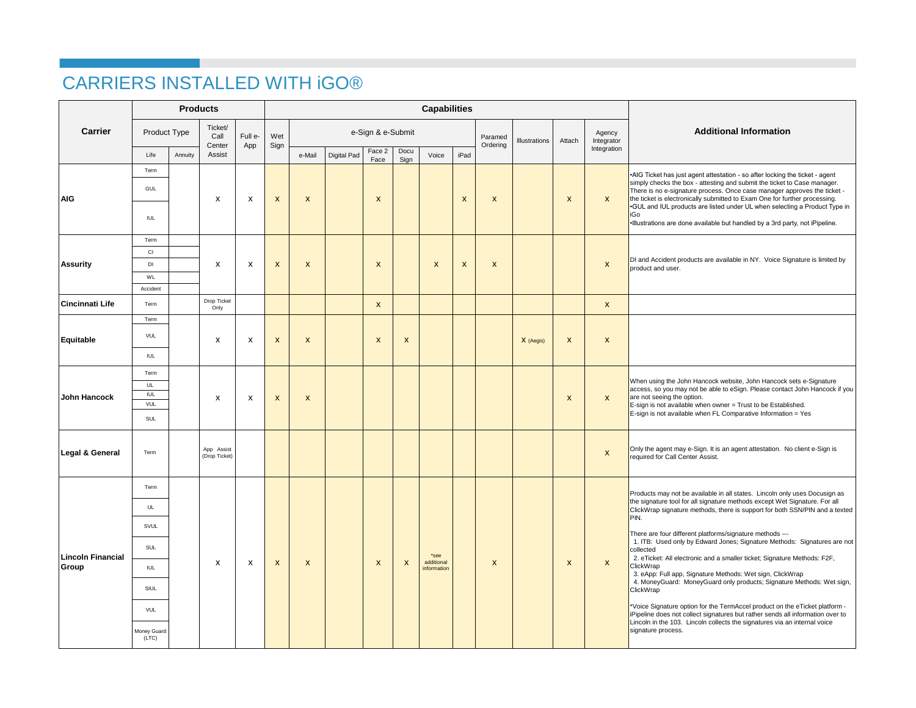## CARRIERS INSTALLED WITH iGO®

|                                   |                                        | <b>Products</b> |                             |         |                    |                    |             |                  |                           | <b>Capabilities</b>               |                  |                  |               |                  |                      |                                                                                                                                                                                                                                                                                                                                                                                                                                                                                           |
|-----------------------------------|----------------------------------------|-----------------|-----------------------------|---------|--------------------|--------------------|-------------|------------------|---------------------------|-----------------------------------|------------------|------------------|---------------|------------------|----------------------|-------------------------------------------------------------------------------------------------------------------------------------------------------------------------------------------------------------------------------------------------------------------------------------------------------------------------------------------------------------------------------------------------------------------------------------------------------------------------------------------|
| Carrier                           | Product Type                           |                 | Ticket/<br>Call             | Full e- | Wet                | e-Sign & e-Submit  |             |                  |                           |                                   |                  |                  | Illustrations | Attach           | Agency<br>Integrator | <b>Additional Information</b>                                                                                                                                                                                                                                                                                                                                                                                                                                                             |
|                                   | Life                                   | Annuity         | Center<br>Assist            | App     | Sign               | e-Mail             | Digital Pad | Face 2<br>Face   | Docu<br>Sign              | Voice                             | iPad             | Ordering         |               |                  | Integration          |                                                                                                                                                                                                                                                                                                                                                                                                                                                                                           |
| <b>AIG</b>                        | Term<br>GUL<br><b>IUL</b>              |                 | X                           | X       | $\boldsymbol{x}$   | $\mathsf{x}$       |             | $\boldsymbol{x}$ |                           |                                   | $\boldsymbol{x}$ | X                |               | X                | $\pmb{\mathsf{x}}$   | • AIG Ticket has just agent attestation - so after locking the ticket - agent<br>simply checks the box - attesting and submit the ticket to Case manager.<br>There is no e-signature process. Once case manager approves the ticket -<br>the ticket is electronically submitted to Exam One for further processing.<br>.GUL and IUL products are listed under UL when selecting a Product Type in<br>iGo<br>. Illustrations are done available but handled by a 3rd party, not iPipeline. |
|                                   | Term                                   |                 |                             |         |                    |                    |             |                  |                           |                                   |                  |                  |               |                  |                      |                                                                                                                                                                                                                                                                                                                                                                                                                                                                                           |
|                                   | CI                                     |                 |                             |         |                    | $\mathsf{x}$       |             |                  |                           |                                   | X                |                  |               |                  | $\pmb{\mathsf{x}}$   | DI and Accident products are available in NY. Voice Signature is limited by                                                                                                                                                                                                                                                                                                                                                                                                               |
| <b>Assurity</b>                   | DI                                     |                 | X                           | X       | X                  |                    |             | $\mathsf{x}$     |                           | $\pmb{\mathsf{x}}$                |                  | X                |               |                  |                      | product and user.                                                                                                                                                                                                                                                                                                                                                                                                                                                                         |
|                                   | WL<br>Accident                         |                 |                             |         |                    |                    |             |                  |                           |                                   |                  |                  |               |                  |                      |                                                                                                                                                                                                                                                                                                                                                                                                                                                                                           |
| Cincinnati Life                   | Term                                   |                 | Drop Ticket<br>Only         |         |                    |                    |             | $\mathsf{x}$     |                           |                                   |                  |                  |               |                  | $\pmb{\mathsf{x}}$   |                                                                                                                                                                                                                                                                                                                                                                                                                                                                                           |
| Equitable                         | Term                                   |                 | X                           | X       | $\pmb{\mathsf{x}}$ | $\pmb{\mathsf{x}}$ |             | X                |                           |                                   |                  |                  | X (Aegis)     | X                | $\pmb{\mathsf{x}}$   |                                                                                                                                                                                                                                                                                                                                                                                                                                                                                           |
|                                   | VUL                                    |                 |                             |         |                    |                    |             |                  | X                         |                                   |                  |                  |               |                  |                      |                                                                                                                                                                                                                                                                                                                                                                                                                                                                                           |
|                                   | <b>IUL</b>                             |                 |                             |         |                    |                    |             |                  |                           |                                   |                  |                  |               |                  |                      |                                                                                                                                                                                                                                                                                                                                                                                                                                                                                           |
| John Hancock                      | Term<br>UL<br><b>IUL</b><br>VUL<br>SUL |                 | x                           | x       | X                  | $\mathsf{x}$       |             |                  |                           |                                   |                  |                  |               | X                | $\pmb{\mathsf{x}}$   | When using the John Hancock website, John Hancock sets e-Signature<br>access, so you may not be able to eSign. Please contact John Hancock if you<br>are not seeing the option.<br>E-sign is not available when owner = Trust to be Established.<br>E-sign is not available when FL Comparative Information = Yes                                                                                                                                                                         |
| Legal & General                   | Term                                   |                 | App Assist<br>(Drop Ticket) |         |                    |                    |             |                  |                           |                                   |                  |                  |               |                  | $\boldsymbol{x}$     | Only the agent may e-Sign. It is an agent attestation. No client e-Sign is<br>required for Call Center Assist.                                                                                                                                                                                                                                                                                                                                                                            |
|                                   | Term                                   |                 | x                           |         | $\pmb{\mathsf{x}}$ | $\mathsf{x}$       |             |                  |                           | *see<br>additional<br>information |                  |                  |               |                  |                      |                                                                                                                                                                                                                                                                                                                                                                                                                                                                                           |
|                                   | UL                                     |                 |                             |         |                    |                    |             |                  |                           |                                   |                  |                  |               |                  |                      | Products may not be available in all states. Lincoln only uses Docusign as<br>the signature tool for all signature methods except Wet Signature. For all<br>ClickWrap signature methods, there is support for both SSN/PIN and a texted<br>PIN.                                                                                                                                                                                                                                           |
| <b>Lincoln Financial</b><br>Group | SVUL                                   |                 |                             |         |                    |                    |             |                  | $\boldsymbol{\mathsf{x}}$ |                                   |                  |                  |               |                  |                      | There are four different platforms/signature methods ---                                                                                                                                                                                                                                                                                                                                                                                                                                  |
|                                   | SUL                                    |                 |                             | X       |                    |                    |             |                  |                           |                                   |                  |                  |               | $\boldsymbol{x}$ | $\pmb{\mathsf{x}}$   | 1. ITB: Used only by Edward Jones; Signature Methods: Signatures are not<br>collected<br>2. eTicket: All electronic and a smaller ticket; Signature Methods: F2F,                                                                                                                                                                                                                                                                                                                         |
|                                   | <b>IUL</b>                             |                 |                             |         |                    |                    |             | X                |                           |                                   |                  | $\boldsymbol{x}$ |               |                  |                      | ClickWrap<br>3. eApp: Full app, Signature Methods: Wet sign, ClickWrap<br>4. MoneyGuard: MoneyGuard only products; Signature Methods: Wet sign,                                                                                                                                                                                                                                                                                                                                           |
|                                   | SIUL                                   |                 |                             |         |                    |                    |             |                  |                           |                                   |                  |                  |               |                  |                      | ClickWrap                                                                                                                                                                                                                                                                                                                                                                                                                                                                                 |
|                                   | VUL                                    |                 |                             |         |                    |                    |             |                  |                           |                                   |                  |                  |               |                  |                      | *Voice Signature option for the TermAccel product on the eTicket platform -<br>iPipeline does not collect signatures but rather sends all information over to<br>Lincoln in the 103. Lincoln collects the signatures via an internal voice                                                                                                                                                                                                                                                |
|                                   | Money Guard<br>(LTC)                   |                 |                             |         |                    |                    |             |                  |                           |                                   |                  |                  |               |                  |                      | signature process.                                                                                                                                                                                                                                                                                                                                                                                                                                                                        |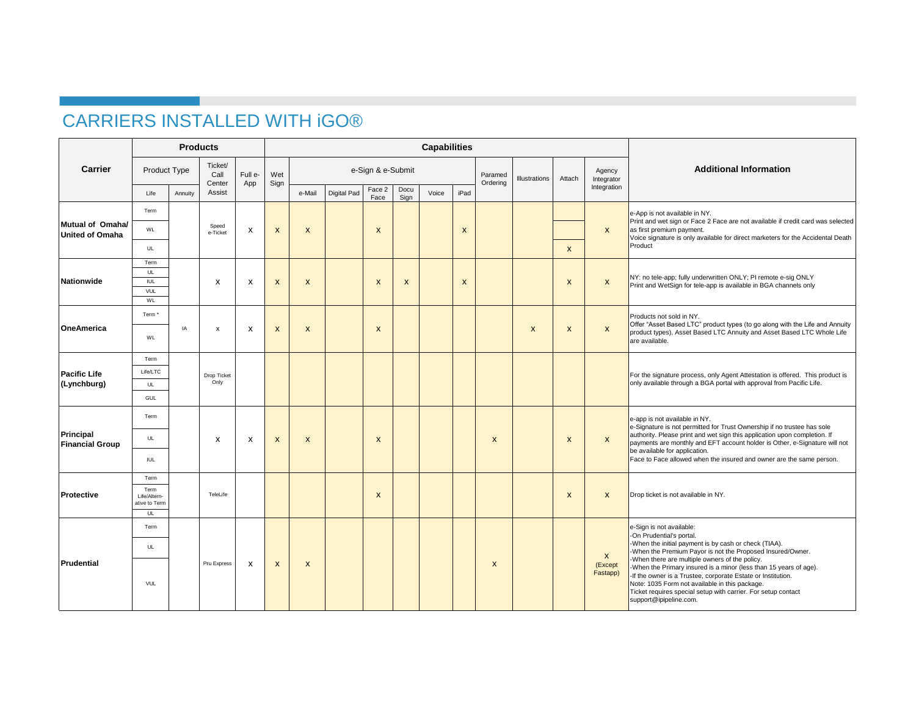## CARRIERS INSTALLED WITH iGO®

|                                            |                                             | <b>Products</b> |                           |                           |                           |                           |             |                           |                           | <b>Capabilities</b> |                           |              |                           |                           |                                     |                                                                                                                                                                                                                                                                                                                                                                                                                                                                                     |
|--------------------------------------------|---------------------------------------------|-----------------|---------------------------|---------------------------|---------------------------|---------------------------|-------------|---------------------------|---------------------------|---------------------|---------------------------|--------------|---------------------------|---------------------------|-------------------------------------|-------------------------------------------------------------------------------------------------------------------------------------------------------------------------------------------------------------------------------------------------------------------------------------------------------------------------------------------------------------------------------------------------------------------------------------------------------------------------------------|
| Carrier                                    |                                             | Product Type    |                           | Full e-                   | Wet<br>Sign               | e-Sign & e-Submit         |             |                           |                           |                     |                           |              | Illustrations             | Attach                    | Agency<br>Integrator                | <b>Additional Information</b>                                                                                                                                                                                                                                                                                                                                                                                                                                                       |
|                                            | Life                                        | Annuity         | Center<br>Assist          | App                       |                           | e-Mail                    | Digital Pad | Face 2<br>Face            | Docu<br>Sign              | Voice               | iPad                      | Ordering     |                           |                           | Integration                         |                                                                                                                                                                                                                                                                                                                                                                                                                                                                                     |
|                                            | Term                                        |                 |                           | X                         | X                         | $\mathsf{x}$              |             |                           |                           |                     |                           |              |                           |                           |                                     | e-App is not available in NY.<br>Print and wet sign or Face 2 Face are not available if credit card was selected<br>as first premium payment.<br>Voice signature is only available for direct marketers for the Accidental Death                                                                                                                                                                                                                                                    |
| Mutual of Omaha/<br><b>United of Omaha</b> | WL                                          |                 | Speed<br>e-Ticket         |                           |                           |                           |             | X                         |                           |                     | X                         |              |                           |                           | $\mathsf{x}$                        |                                                                                                                                                                                                                                                                                                                                                                                                                                                                                     |
|                                            | UL                                          |                 |                           |                           |                           |                           |             |                           |                           |                     |                           |              |                           | $\mathsf{x}$              |                                     | Product                                                                                                                                                                                                                                                                                                                                                                                                                                                                             |
|                                            | Term<br>UL                                  |                 |                           |                           |                           |                           |             |                           |                           |                     |                           |              |                           |                           |                                     |                                                                                                                                                                                                                                                                                                                                                                                                                                                                                     |
| Nationwide                                 | <b>IUL</b>                                  |                 | $\boldsymbol{\mathsf{x}}$ | $\boldsymbol{\mathsf{x}}$ | $\mathsf{x}$              | $\mathsf{x}$              |             | $\mathsf{x}$              | $\boldsymbol{\mathsf{x}}$ |                     | $\boldsymbol{\mathsf{x}}$ |              |                           | $\mathsf{x}$              | $\boldsymbol{x}$                    | NY: no tele-app; fully underwritten ONLY; PI remote e-sig ONLY<br>Print and WetSign for tele-app is available in BGA channels only                                                                                                                                                                                                                                                                                                                                                  |
|                                            | VUL<br>WL                                   |                 |                           |                           |                           |                           |             |                           |                           |                     |                           |              |                           |                           |                                     |                                                                                                                                                                                                                                                                                                                                                                                                                                                                                     |
| OneAmerica                                 | Term <sup>*</sup>                           |                 | X                         |                           | $\boldsymbol{\mathsf{x}}$ | $\boldsymbol{\mathsf{x}}$ |             |                           |                           |                     |                           |              | $\boldsymbol{\mathsf{x}}$ | $\mathsf{x}$              | $\boldsymbol{x}$                    | Products not sold in NY.<br>Offer "Asset Based LTC" product types (to go along with the Life and Annuity<br>product types), Asset Based LTC Annuity and Asset Based LTC Whole Life<br>are available.                                                                                                                                                                                                                                                                                |
|                                            | WL                                          | IA              |                           | X                         |                           |                           |             | $\boldsymbol{\mathsf{x}}$ |                           |                     |                           |              |                           |                           |                                     |                                                                                                                                                                                                                                                                                                                                                                                                                                                                                     |
| <b>Pacific Life</b><br>(Lynchburg)         | Term                                        |                 | Drop Ticket<br>Only       |                           |                           |                           |             |                           |                           |                     |                           |              |                           |                           |                                     |                                                                                                                                                                                                                                                                                                                                                                                                                                                                                     |
|                                            | Life/LTC                                    |                 |                           |                           |                           |                           |             |                           |                           |                     |                           |              |                           |                           |                                     | For the signature process, only Agent Attestation is offered. This product is<br>only available through a BGA portal with approval from Pacific Life.                                                                                                                                                                                                                                                                                                                               |
|                                            | UL<br>GUL                                   |                 |                           |                           |                           |                           |             |                           |                           |                     |                           |              |                           |                           |                                     |                                                                                                                                                                                                                                                                                                                                                                                                                                                                                     |
|                                            | Term                                        |                 | $\boldsymbol{\mathsf{x}}$ | X                         | $\mathsf{x}$              | $\mathsf{x}$              |             |                           |                           |                     |                           |              |                           | $\boldsymbol{\mathsf{x}}$ | $\boldsymbol{x}$                    |                                                                                                                                                                                                                                                                                                                                                                                                                                                                                     |
|                                            |                                             |                 |                           |                           |                           |                           |             |                           |                           |                     |                           | X            |                           |                           |                                     | e-app is not available in NY.<br>e-Signature is not permitted for Trust Ownership if no trustee has sole                                                                                                                                                                                                                                                                                                                                                                            |
| Principal<br><b>Financial Group</b>        | UL                                          |                 |                           |                           |                           |                           |             | $\boldsymbol{\mathsf{x}}$ |                           |                     |                           |              |                           |                           |                                     | authority. Please print and wet sign this application upon completion. If<br>payments are monthly and EFT account holder is Other, e-Signature will not                                                                                                                                                                                                                                                                                                                             |
|                                            | <b>IUL</b>                                  |                 |                           |                           |                           |                           |             |                           |                           |                     |                           |              |                           |                           |                                     | be available for application.<br>Face to Face allowed when the insured and owner are the same person.                                                                                                                                                                                                                                                                                                                                                                               |
|                                            | Term                                        |                 | TeleLife                  |                           |                           |                           |             | $\boldsymbol{\mathsf{x}}$ |                           |                     |                           |              |                           |                           |                                     | Drop ticket is not available in NY.                                                                                                                                                                                                                                                                                                                                                                                                                                                 |
| Protective                                 | Term<br>Life/Altern-<br>ative to Term<br>UL |                 |                           |                           |                           |                           |             |                           |                           |                     |                           |              |                           | $\mathsf{x}$              | $\mathsf{x}$                        |                                                                                                                                                                                                                                                                                                                                                                                                                                                                                     |
| Prudential                                 | Term                                        |                 | Pru Express               | $\boldsymbol{\mathsf{x}}$ | $\boldsymbol{\mathsf{x}}$ | $\mathsf{x}$              |             |                           |                           |                     |                           |              |                           |                           |                                     | e-Sign is not available:                                                                                                                                                                                                                                                                                                                                                                                                                                                            |
|                                            | UL                                          |                 |                           |                           |                           |                           |             |                           |                           |                     |                           | $\mathsf{x}$ |                           |                           | $\mathsf{x}$<br>(Except<br>Fastapp) | -On Prudential's portal.<br>-When the initial payment is by cash or check (TIAA).<br>-When the Premium Payor is not the Proposed Insured/Owner.<br>-When there are multiple owners of the policy.<br>-When the Primary insured is a minor (less than 15 years of age).<br>-If the owner is a Trustee, corporate Estate or Institution.<br>Note: 1035 Form not available in this package.<br>Ticket requires special setup with carrier. For setup contact<br>support@ipipeline.com. |
|                                            | VUL                                         |                 |                           |                           |                           |                           |             |                           |                           |                     |                           |              |                           |                           |                                     |                                                                                                                                                                                                                                                                                                                                                                                                                                                                                     |